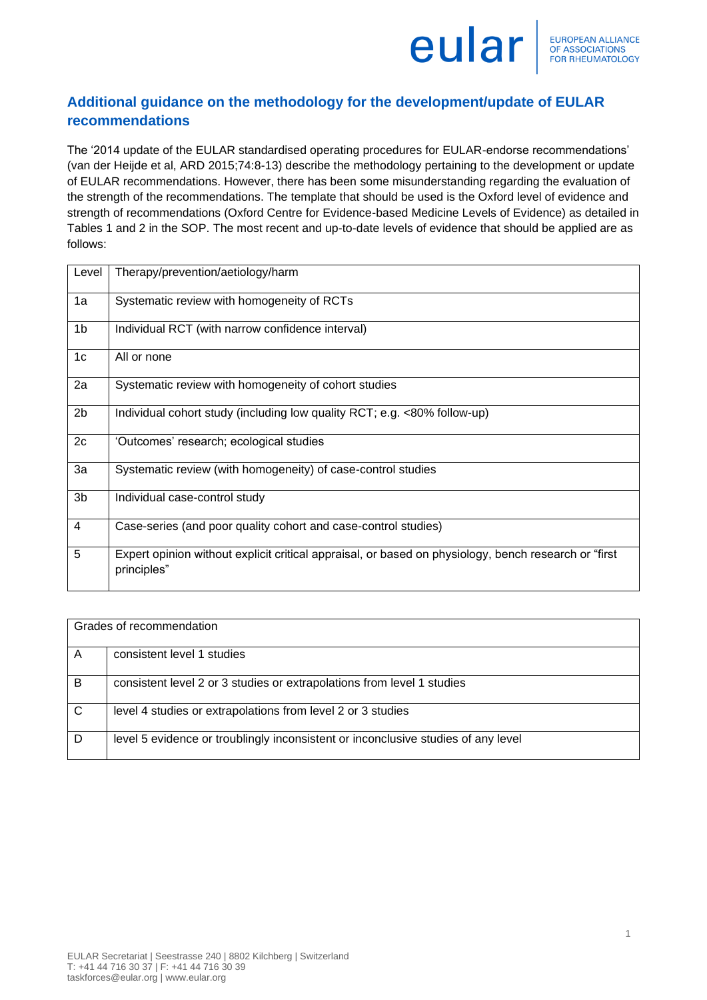

## **Additional guidance on the methodology for the development/update of EULAR recommendations**

The '2014 update of the EULAR standardised operating procedures for EULAR-endorse recommendations' (van der Heijde et al, ARD 2015;74:8-13) describe the methodology pertaining to the development or update of EULAR recommendations. However, there has been some misunderstanding regarding the evaluation of the strength of the recommendations. The template that should be used is the Oxford level of evidence and strength of recommendations (Oxford Centre for Evidence-based Medicine Levels of Evidence) as detailed in Tables 1 and 2 in the SOP. The most recent and up-to-date levels of evidence that should be applied are as follows:

| Level          | Therapy/prevention/aetiology/harm                                                                                   |
|----------------|---------------------------------------------------------------------------------------------------------------------|
| 1a             | Systematic review with homogeneity of RCTs                                                                          |
| 1 <sub>b</sub> | Individual RCT (with narrow confidence interval)                                                                    |
| 1c             | All or none                                                                                                         |
| 2a             | Systematic review with homogeneity of cohort studies                                                                |
| 2 <sub>b</sub> | Individual cohort study (including low quality RCT; e.g. <80% follow-up)                                            |
| 2c             | 'Outcomes' research; ecological studies                                                                             |
| 3a             | Systematic review (with homogeneity) of case-control studies                                                        |
| 3b             | Individual case-control study                                                                                       |
| 4              | Case-series (and poor quality cohort and case-control studies)                                                      |
| 5              | Expert opinion without explicit critical appraisal, or based on physiology, bench research or "first<br>principles" |

| Grades of recommendation |                                                                                   |
|--------------------------|-----------------------------------------------------------------------------------|
| A                        | consistent level 1 studies                                                        |
| B                        | consistent level 2 or 3 studies or extrapolations from level 1 studies            |
| C                        | level 4 studies or extrapolations from level 2 or 3 studies                       |
| D                        | level 5 evidence or troublingly inconsistent or inconclusive studies of any level |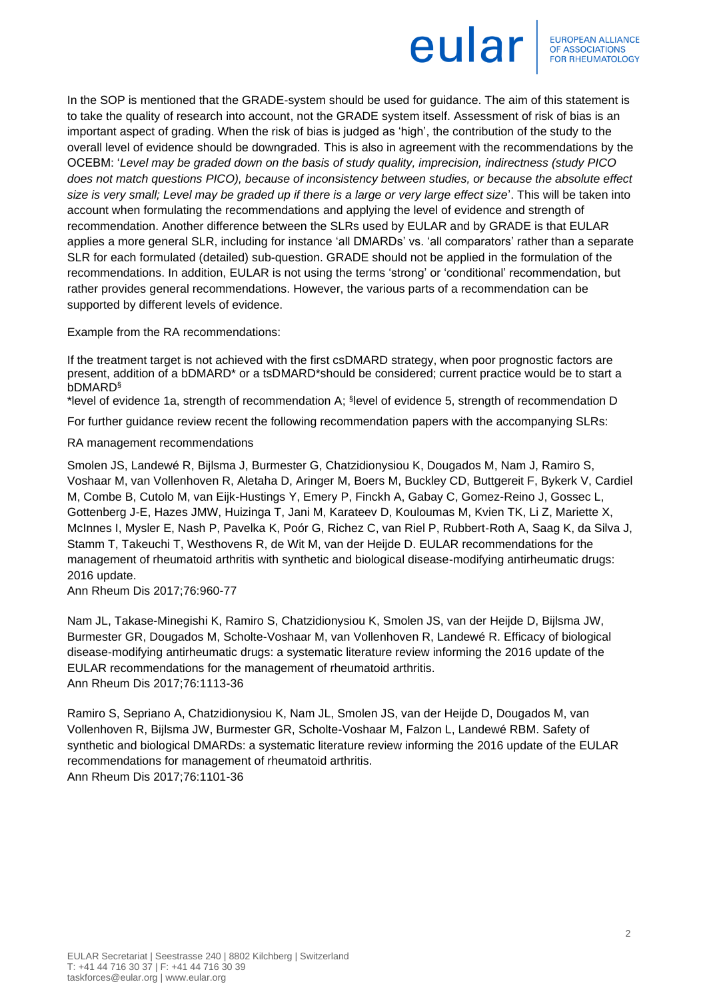

In the SOP is mentioned that the GRADE-system should be used for guidance. The aim of this statement is to take the quality of research into account, not the GRADE system itself. Assessment of risk of bias is an important aspect of grading. When the risk of bias is judged as 'high', the contribution of the study to the overall level of evidence should be downgraded. This is also in agreement with the recommendations by the OCEBM: '*Level may be graded down on the basis of study quality, imprecision, indirectness (study PICO does not match questions PICO), because of inconsistency between studies, or because the absolute effect size is very small; Level may be graded up if there is a large or very large effect size*'. This will be taken into account when formulating the recommendations and applying the level of evidence and strength of recommendation. Another difference between the SLRs used by EULAR and by GRADE is that EULAR applies a more general SLR, including for instance 'all DMARDs' vs. 'all comparators' rather than a separate SLR for each formulated (detailed) sub-question. GRADE should not be applied in the formulation of the recommendations. In addition, EULAR is not using the terms 'strong' or 'conditional' recommendation, but rather provides general recommendations. However, the various parts of a recommendation can be supported by different levels of evidence.

Example from the RA recommendations:

If the treatment target is not achieved with the first csDMARD strategy, when poor prognostic factors are present, addition of a bDMARD\* or a tsDMARD\*should be considered; current practice would be to start a bDMARD§

\*level of evidence 1a, strength of recommendation A; § level of evidence 5, strength of recommendation D

For further guidance review recent the following recommendation papers with the accompanying SLRs:

RA management recommendations

Smolen JS, Landewé R, Bijlsma J, Burmester G, Chatzidionysiou K, Dougados M, Nam J, Ramiro S, Voshaar M, van Vollenhoven R, Aletaha D, Aringer M, Boers M, Buckley CD, Buttgereit F, Bykerk V, Cardiel M, Combe B, Cutolo M, van Eijk-Hustings Y, Emery P, Finckh A, Gabay C, Gomez-Reino J, Gossec L, Gottenberg J-E, Hazes JMW, Huizinga T, Jani M, Karateev D, Kouloumas M, Kvien TK, Li Z, Mariette X, McInnes I, Mysler E, Nash P, Pavelka K, Poór G, Richez C, van Riel P, Rubbert-Roth A, Saag K, da Silva J, Stamm T, Takeuchi T, Westhovens R, de Wit M, van der Heijde D. EULAR recommendations for the management of rheumatoid arthritis with synthetic and biological disease-modifying antirheumatic drugs: 2016 update.

Ann Rheum Dis 2017;76:960-77

Nam JL, Takase-Minegishi K, Ramiro S, Chatzidionysiou K, Smolen JS, van der Heijde D, Bijlsma JW, Burmester GR, Dougados M, Scholte-Voshaar M, van Vollenhoven R, Landewé R. Efficacy of biological disease-modifying antirheumatic drugs: a systematic literature review informing the 2016 update of the EULAR recommendations for the management of rheumatoid arthritis. Ann Rheum Dis 2017;76:1113-36

Ramiro S, Sepriano A, Chatzidionysiou K, Nam JL, Smolen JS, van der Heijde D, Dougados M, van Vollenhoven R, Bijlsma JW, Burmester GR, Scholte-Voshaar M, Falzon L, Landewé RBM. Safety of synthetic and biological DMARDs: a systematic literature review informing the 2016 update of the EULAR recommendations for management of rheumatoid arthritis.

Ann Rheum Dis 2017;76:1101-36